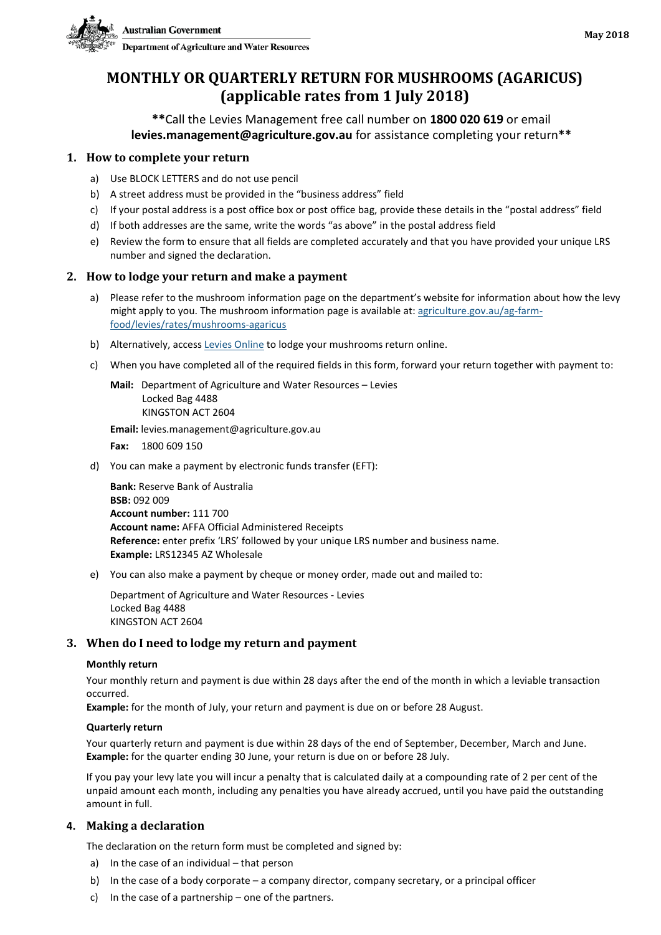

# **MONTHLY OR QUARTERLY RETURN FOR MUSHROOMS (AGARICUS) (applicable rates from 1 July 2018)**

**\*\***Call the Levies Management free call number on **1800 020 619** or email **levies.management@agriculture.gov.au** for assistance completing your return**\*\***

#### **1. How to complete your return**

- a) Use BLOCK LETTERS and do not use pencil
- b) A street address must be provided in the "business address" field
- c) If your postal address is a post office box or post office bag, provide these details in the "postal address" field
- d) If both addresses are the same, write the words "as above" in the postal address field
- e) Review the form to ensure that all fields are completed accurately and that you have provided your unique LRS number and signed the declaration.

#### **2. How to lodge your return and make a payment**

- a) Please refer to the mushroom information page on the department's website for information about how the levy might apply to you. The mushroom information page is available at: [agriculture.gov.au/ag-farm](http://www.agriculture.gov.au/ag-farm-food/levies/rates/mushrooms-agaricus)[food/levies/rates/mushrooms-agaricus](http://www.agriculture.gov.au/ag-farm-food/levies/rates/mushrooms-agaricus)
- b) Alternatively, access [Levies Online](https://leviesonline.agriculture.gov.au/LRSONLINE/LRSOL_Start/LRSOL_Home.aspx?ck=382142505790) to lodge your mushrooms return online.
- c) When you have completed all of the required fields in this form, forward your return together with payment to:
	- **Mail:** Department of Agriculture and Water Resources Levies Locked Bag 4488 KINGSTON ACT 2604

**Email:** levies.management@agriculture.gov.au

**Fax:** 1800 609 150

d) You can make a payment by electronic funds transfer (EFT):

**Bank:** Reserve Bank of Australia **BSB:** 092 009 **Account number:** 111 700 **Account name:** AFFA Official Administered Receipts **Reference:** enter prefix 'LRS' followed by your unique LRS number and business name. **Example:** LRS12345 AZ Wholesale

e) You can also make a payment by cheque or money order, made out and mailed to:

Department of Agriculture and Water Resources - Levies Locked Bag 4488 KINGSTON ACT 2604

#### **3. When do I need to lodge my return and payment**

#### **Monthly return**

Your monthly return and payment is due within 28 days after the end of the month in which a leviable transaction occurred.

**Example:** for the month of July, your return and payment is due on or before 28 August.

#### **Quarterly return**

Your quarterly return and payment is due within 28 days of the end of September, December, March and June. **Example:** for the quarter ending 30 June, your return is due on or before 28 July.

If you pay your levy late you will incur a penalty that is calculated daily at a compounding rate of 2 per cent of the unpaid amount each month, including any penalties you have already accrued, until you have paid the outstanding amount in full.

#### **4. Making a declaration**

The declaration on the return form must be completed and signed by:

- a) In the case of an individual that person
- b) In the case of a body corporate a company director, company secretary, or a principal officer
- c) In the case of a partnership one of the partners.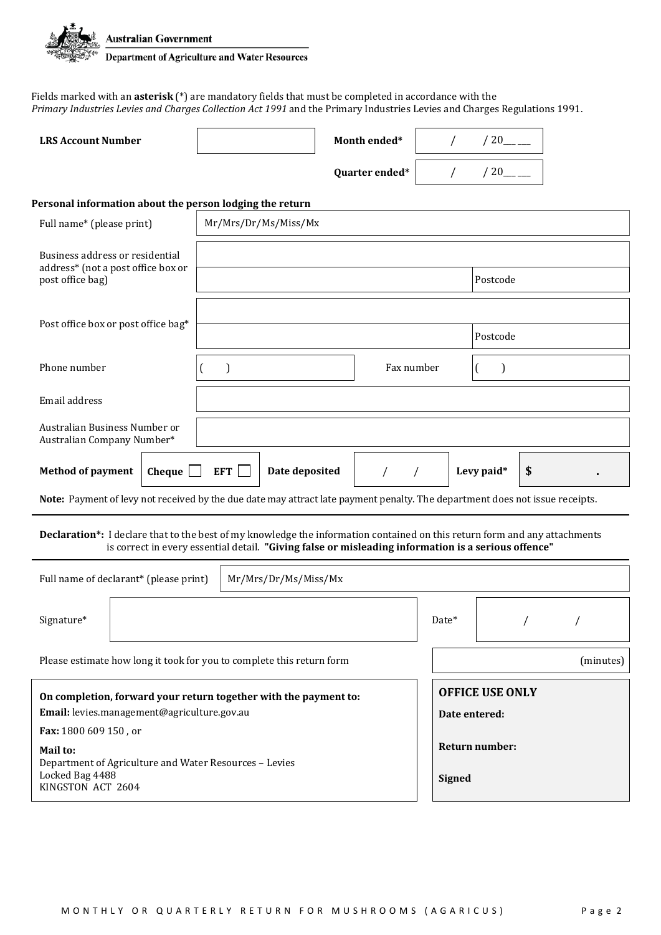

Fields marked with an **asterisk** (\*) are mandatory fields that must be completed in accordance with the *Primary Industries Levies and Charges Collection Act 1991* and the Primary Industries Levies and Charges Regulations 1991.

| <b>LRS Account Number</b> | Month ended*   | 20 |
|---------------------------|----------------|----|
|                           | Quarter ended* | 20 |

#### **Personal information about the person lodging the return**

| Full name* (please print)                                                                                  | Mr/Mrs/Dr/Ms/Miss/Mx                                                                                                                                                                                                              |                        |            |                          |          |           |  |
|------------------------------------------------------------------------------------------------------------|-----------------------------------------------------------------------------------------------------------------------------------------------------------------------------------------------------------------------------------|------------------------|------------|--------------------------|----------|-----------|--|
| Business address or residential                                                                            |                                                                                                                                                                                                                                   |                        |            |                          |          |           |  |
| address* (not a post office box or<br>post office bag)                                                     |                                                                                                                                                                                                                                   |                        |            | Postcode                 |          |           |  |
|                                                                                                            |                                                                                                                                                                                                                                   |                        |            |                          |          |           |  |
| Post office box or post office bag*                                                                        |                                                                                                                                                                                                                                   |                        |            | Postcode                 |          |           |  |
| Phone number                                                                                               | $\mathcal{E}$                                                                                                                                                                                                                     | Fax number             |            | (                        |          |           |  |
| Email address                                                                                              |                                                                                                                                                                                                                                   |                        |            |                          |          |           |  |
| Australian Business Number or<br>Australian Company Number*                                                |                                                                                                                                                                                                                                   |                        |            |                          |          |           |  |
| <b>Method of payment</b><br>Cheque                                                                         |                                                                                                                                                                                                                                   |                        | Levy paid* | \$                       |          |           |  |
|                                                                                                            | Note: Payment of levy not received by the due date may attract late payment penalty. The department does not issue receipts.                                                                                                      |                        |            |                          |          |           |  |
|                                                                                                            | Declaration*: I declare that to the best of my knowledge the information contained on this return form and any attachments<br>is correct in every essential detail. "Giving false or misleading information is a serious offence" |                        |            |                          |          |           |  |
| Full name of declarant* (please print)                                                                     | Mr/Mrs/Dr/Ms/Miss/Mx                                                                                                                                                                                                              |                        |            |                          |          |           |  |
| Signature*                                                                                                 |                                                                                                                                                                                                                                   |                        | Date*      |                          | $\prime$ | $\prime$  |  |
|                                                                                                            | Please estimate how long it took for you to complete this return form                                                                                                                                                             |                        |            |                          |          | (minutes) |  |
| On completion, forward your return together with the payment to:                                           |                                                                                                                                                                                                                                   | <b>OFFICE USE ONLY</b> |            |                          |          |           |  |
| Email: levies.management@agriculture.gov.au                                                                |                                                                                                                                                                                                                                   |                        |            | Date entered:            |          |           |  |
| Fax: 1800 609 150, or                                                                                      |                                                                                                                                                                                                                                   |                        |            |                          |          |           |  |
| Mail to:<br>Department of Agriculture and Water Resources - Levies<br>Locked Bag 4488<br>KINGSTON ACT 2604 |                                                                                                                                                                                                                                   |                        |            | Return number:<br>Signed |          |           |  |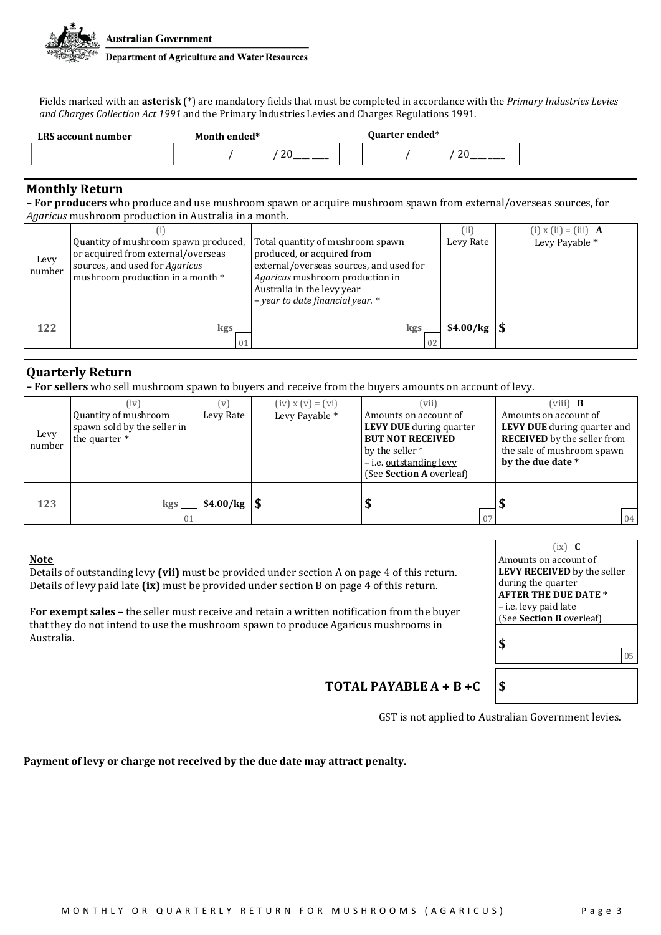

Fields marked with an **asterisk** (\*) are mandatory fields that must be completed in accordance with the *Primary Industries Levies and Charges Collection Act 1991* and the Primary Industries Levies and Charges Regulations 1991.

| LRS account number | Month ended* | <b>Quarter ended*</b> |
|--------------------|--------------|-----------------------|
|                    | n,<br>∠      |                       |

### **Monthly Return**

**– For producers** who produce and use mushroom spawn or acquire mushroom spawn from external/overseas sources, for *Agaricus* mushroom production in Australia in a month.

| Levy<br>number | Quantity of mushroom spawn produced,<br>or acquired from external/overseas<br>sources, and used for Agaricus<br>mushroom production in a month * | Total quantity of mushroom spawn<br>produced, or acquired from<br>external/overseas sources, and used for<br>Agaricus mushroom production in<br>Australia in the levy year<br>- year to date financial year. * |                                                                                                                                                                                                                                 | $(i)$ x $(ii)$ = $(iii)$ <b>A</b><br>Levy Payable * |
|----------------|--------------------------------------------------------------------------------------------------------------------------------------------------|----------------------------------------------------------------------------------------------------------------------------------------------------------------------------------------------------------------|---------------------------------------------------------------------------------------------------------------------------------------------------------------------------------------------------------------------------------|-----------------------------------------------------|
| 122            | kgs                                                                                                                                              | kgs                                                                                                                                                                                                            | $$4.00/kg$ \\ \epsil\; \mathbb{s4.00 / \cdot \sigma_0 \sigma_0 \sigma_0 \sigma_0 \sigma_0 \sigma_0 \sigma_0 \sigma_0 \sigma_0 \sigma_0 \sigma_0 \sigma_0 \sigma_0 \sigma_0 \sigma_0 \sigma_0 \sigma_0 \sigma_0 \sigma_0 \sigma_ |                                                     |

### **Quarterly Return**

**– For sellers** who sell mushroom spawn to buyers and receive from the buyers amounts on account of levy.

|                | (iv                                                                  | (v)       | $(iv) x (v) = (vi)$ | (vii)                                                                                                                                                        | $(viii)$ <b>B</b>                                                                                                                                    |
|----------------|----------------------------------------------------------------------|-----------|---------------------|--------------------------------------------------------------------------------------------------------------------------------------------------------------|------------------------------------------------------------------------------------------------------------------------------------------------------|
| Levy<br>number | Quantity of mushroom<br>spawn sold by the seller in<br>the quarter * | Levy Rate | Levy Payable *      | Amounts on account of<br><b>LEVY DUE</b> during quarter<br><b>BUT NOT RECEIVED</b><br>by the seller *<br>- i.e. outstanding levy<br>(See Section A overleaf) | Amounts on account of<br><b>LEVY DUE</b> during quarter and<br><b>RECEIVED</b> by the seller from<br>the sale of mushroom spawn<br>by the due date * |
| 123            | kgs                                                                  | \$4.00/kg |                     | - Ф<br>07                                                                                                                                                    | 04                                                                                                                                                   |

#### **Note**

Details of outstanding levy **(vii)** must be provided under section A on page 4 of this return. Details of levy paid late **(ix)** must be provided under section B on page 4 of this return.

**For exempt sales** – the seller must receive and retain a written notification from the buyer that they do not intend to use the mushroom spawn to produce Agaricus mushrooms in Australia.

| $(ix)$ <b>C</b>                    |  |  |  |
|------------------------------------|--|--|--|
| Amounts on account of              |  |  |  |
| <b>LEVY RECEIVED</b> by the seller |  |  |  |
| during the quarter                 |  |  |  |
| <b>AFTER THE DUE DATE *</b>        |  |  |  |
| – i.e. <u>levy paid late</u>       |  |  |  |
| (See Section B overleaf)           |  |  |  |
| ¢                                  |  |  |  |
|                                    |  |  |  |

**TOTAL PAYABLE**  $A + B + C$ 

GST is not applied to Australian Government levies.

**Payment of levy or charge not received by the due date may attract penalty.**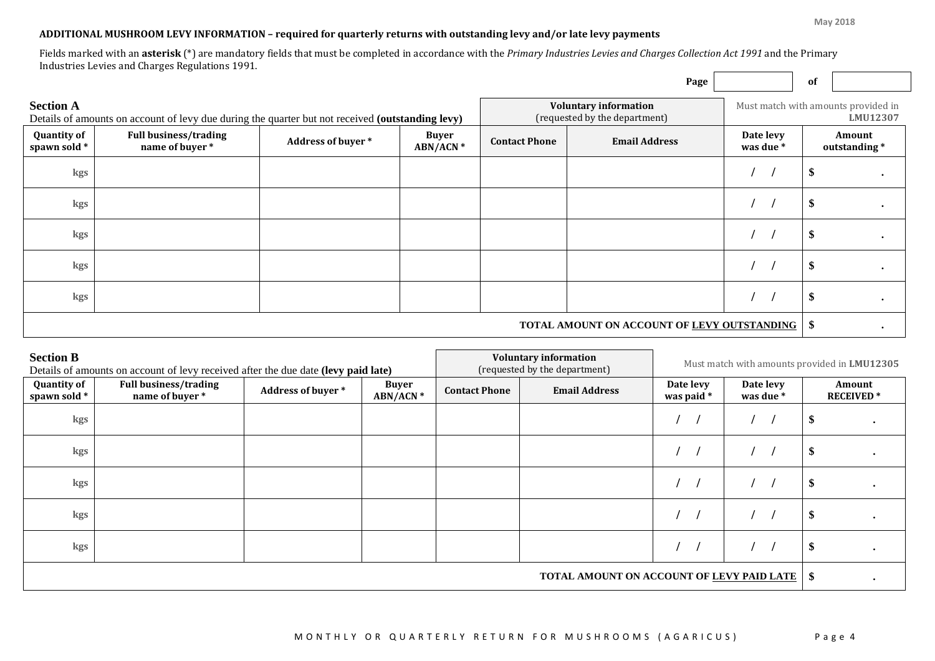**May 2018**

### **ADDITIONAL MUSHROOM LEVY INFORMATION – required for quarterly returns with outstanding levy and/or late levy payments**

Fields marked with an **asterisk** (\*) are mandatory fields that must be completed in accordance with the *Primary Industries Levies and Charges Collection Act 1991* and the Primary Industries Levies and Charges Regulations 1991.

|                                                                                                                      |                                                |                   |                          |                                                               | Page                                                    |                        | 0f                                              |                        |  |
|----------------------------------------------------------------------------------------------------------------------|------------------------------------------------|-------------------|--------------------------|---------------------------------------------------------------|---------------------------------------------------------|------------------------|-------------------------------------------------|------------------------|--|
| <b>Section A</b><br>Details of amounts on account of levy due during the quarter but not received (outstanding levy) |                                                |                   |                          | <b>Voluntary information</b><br>(requested by the department) |                                                         |                        | Must match with amounts provided in<br>LMU12307 |                        |  |
| <b>Quantity of</b><br>spawn sold *                                                                                   | <b>Full business/trading</b><br>name of buyer* | Address of buyer* | <b>Buyer</b><br>ABN/ACN* | <b>Email Address</b><br><b>Contact Phone</b>                  |                                                         | Date levy<br>was due * |                                                 | Amount<br>outstanding* |  |
| kgs                                                                                                                  |                                                |                   |                          |                                                               |                                                         |                        |                                                 |                        |  |
| kgs                                                                                                                  |                                                |                   |                          |                                                               |                                                         |                        |                                                 |                        |  |
| kgs                                                                                                                  |                                                |                   |                          |                                                               |                                                         |                        |                                                 |                        |  |
| kgs                                                                                                                  |                                                |                   |                          |                                                               |                                                         |                        |                                                 |                        |  |
| kgs                                                                                                                  |                                                |                   |                          |                                                               |                                                         |                        |                                                 |                        |  |
|                                                                                                                      |                                                |                   |                          |                                                               | <b>TOTAL AMOUNT ON ACCOUNT OF LEVY OUTSTANDING   \$</b> |                        |                                                 |                        |  |

| <b>Section B</b><br>Details of amounts on account of levy received after the due date (levy paid late) |                                                |                   | <b>Voluntary information</b><br>(requested by the department) | Must match with amounts provided in LMU12305 |  |                         |                        |                            |  |
|--------------------------------------------------------------------------------------------------------|------------------------------------------------|-------------------|---------------------------------------------------------------|----------------------------------------------|--|-------------------------|------------------------|----------------------------|--|
| <b>Quantity of</b><br>spawn sold *                                                                     | <b>Full business/trading</b><br>name of buyer* | Address of buyer* | <b>Buyer</b><br>ABN/ACN*                                      | <b>Email Address</b><br><b>Contact Phone</b> |  | Date levy<br>was paid * | Date levy<br>was due * | Amount<br><b>RECEIVED*</b> |  |
| kgs                                                                                                    |                                                |                   |                                                               |                                              |  |                         |                        |                            |  |
| kgs                                                                                                    |                                                |                   |                                                               |                                              |  |                         |                        |                            |  |
| kgs                                                                                                    |                                                |                   |                                                               |                                              |  |                         |                        |                            |  |
| kgs                                                                                                    |                                                |                   |                                                               |                                              |  |                         |                        |                            |  |
| kgs                                                                                                    |                                                |                   |                                                               |                                              |  |                         |                        |                            |  |
| <b>TOTAL AMOUNT ON ACCOUNT OF LEVY PAID LATE</b>                                                       |                                                |                   |                                                               |                                              |  | -\$                     |                        |                            |  |